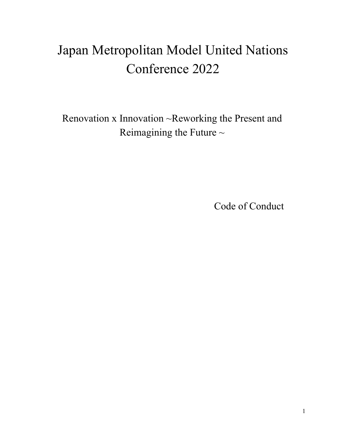# Japan Metropolitan Model United Nations Conference 2022

Renovation x Innovation ~Reworking the Present and Reimagining the Future  $\sim$ 

Code of Conduct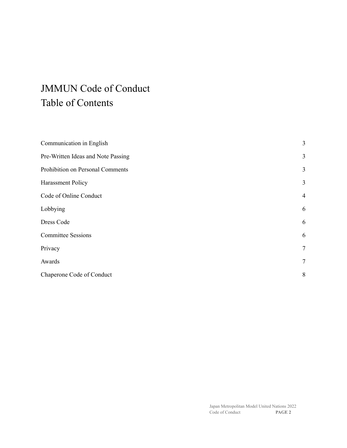## JMMUN Code of Conduct Table of Contents

| 3              |
|----------------|
| 3              |
| 3              |
| 3              |
| $\overline{4}$ |
| 6              |
| 6              |
| 6              |
| $\tau$         |
| 7              |
| 8              |
|                |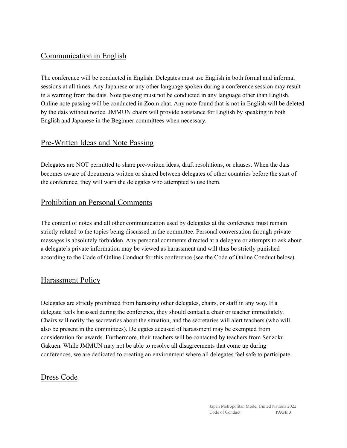## <span id="page-2-0"></span>Communication in English

The conference will be conducted in English. Delegates must use English in both formal and informal sessions at all times. Any Japanese or any other language spoken during a conference session may result in a warning from the dais. Note passing must not be conducted in any language other than English. Online note passing will be conducted in Zoom chat. Any note found that is not in English will be deleted by the dais without notice. JMMUN chairs will provide assistance for English by speaking in both English and Japanese in the Beginner committees when necessary.

## <span id="page-2-1"></span>Pre-Written Ideas and Note Passing

Delegates are NOT permitted to share pre-written ideas, draft resolutions, or clauses. When the dais becomes aware of documents written or shared between delegates of other countries before the start of the conference, they will warn the delegates who attempted to use them.

## <span id="page-2-2"></span>Prohibition on Personal Comments

The content of notes and all other communication used by delegates at the conference must remain strictly related to the topics being discussed in the committee. Personal conversation through private messages is absolutely forbidden. Any personal comments directed at a delegate or attempts to ask about a delegate's private information may be viewed as harassment and will thus be strictly punished according to the Code of Online Conduct for this conference (see the Code of Online Conduct below).

## <span id="page-2-3"></span>Harassment Policy

Delegates are strictly prohibited from harassing other delegates, chairs, or staff in any way. If a delegate feels harassed during the conference, they should contact a chair or teacher immediately. Chairs will notify the secretaries about the situation, and the secretaries will alert teachers (who will also be present in the committees). Delegates accused of harassment may be exempted from consideration for awards. Furthermore, their teachers will be contacted by teachers from Senzoku Gakuen. While JMMUN may not be able to resolve all disagreements that come up during conferences, we are dedicated to creating an environment where all delegates feel safe to participate.

## Dress Code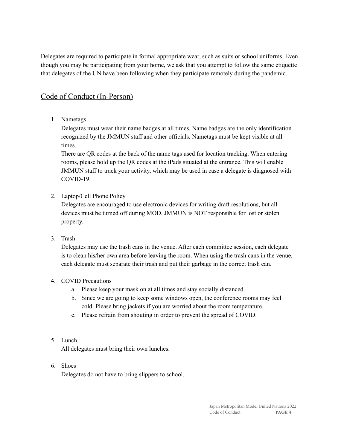Delegates are required to participate in formal appropriate wear, such as suits or school uniforms. Even though you may be participating from your home, we ask that you attempt to follow the same etiquette that delegates of the UN have been following when they participate remotely during the pandemic.

## <span id="page-3-0"></span>Code of Conduct (In-Person)

1. Nametags

Delegates must wear their name badges at all times. Name badges are the only identification recognized by the JMMUN staff and other officials. Nametags must be kept visible at all times.

There are QR codes at the back of the name tags used for location tracking. When entering rooms, please hold up the QR codes at the iPads situated at the entrance. This will enable JMMUN staff to track your activity, which may be used in case a delegate is diagnosed with COVID-19.

2. Laptop/Cell Phone Policy

Delegates are encouraged to use electronic devices for writing draft resolutions, but all devices must be turned off during MOD. JMMUN is NOT responsible for lost or stolen property.

3. Trash

Delegates may use the trash cans in the venue. After each committee session, each delegate is to clean his/her own area before leaving the room. When using the trash cans in the venue, each delegate must separate their trash and put their garbage in the correct trash can.

#### 4. COVID Precautions

- a. Please keep your mask on at all times and stay socially distanced.
- b. Since we are going to keep some windows open, the conference rooms may feel cold. Please bring jackets if you are worried about the room temperature.
- c. Please refrain from shouting in order to prevent the spread of COVID.
- 5. Lunch

All delegates must bring their own lunches.

6. Shoes

Delegates do not have to bring slippers to school.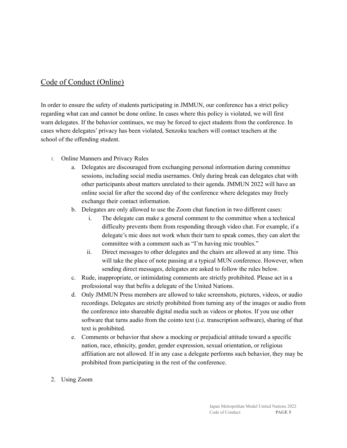## Code of Conduct (Online)

In order to ensure the safety of students participating in JMMUN, our conference has a strict policy regarding what can and cannot be done online. In cases where this policy is violated, we will first warn delegates. If the behavior continues, we may be forced to eject students from the conference. In cases where delegates' privacy has been violated, Senzoku teachers will contact teachers at the school of the offending student.

- 1. Online Manners and Privacy Rules
	- a. Delegates are discouraged from exchanging personal information during committee sessions, including social media usernames. Only during break can delegates chat with other participants about matters unrelated to their agenda. JMMUN 2022 will have an online social for after the second day of the conference where delegates may freely exchange their contact information.
	- b. Delegates are only allowed to use the Zoom chat function in two different cases:
		- i. The delegate can make a general comment to the committee when a technical difficulty prevents them from responding through video chat. For example, if a delegate's mic does not work when their turn to speak comes, they can alert the committee with a comment such as "I'm having mic troubles."
		- ii. Direct messages to other delegates and the chairs are allowed at any time. This will take the place of note passing at a typical MUN conference. However, when sending direct messages, delegates are asked to follow the rules below.
	- c. Rude, inappropriate, or intimidating comments are strictly prohibited. Please act in a professional way that befits a delegate of the United Nations.
	- d. Only JMMUN Press members are allowed to take screenshots, pictures, videos, or audio recordings. Delegates are strictly prohibited from turning any of the images or audio from the conference into shareable digital media such as videos or photos. If you use other software that turns audio from the cointo text (i.e. transcription software), sharing of that text is prohibited.
	- e. Comments or behavior that show a mocking or prejudicial attitude toward a specific nation, race, ethnicity, gender, gender expression, sexual orientation, or religious affiliation are not allowed. If in any case a delegate performs such behavior, they may be prohibited from participating in the rest of the conference.
- 2. Using Zoom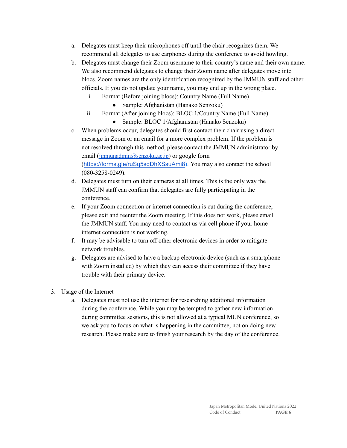- a. Delegates must keep their microphones off until the chair recognizes them. We recommend all delegates to use earphones during the conference to avoid howling.
- b. Delegates must change their Zoom username to their country's name and their own name. We also recommend delegates to change their Zoom name after delegates move into blocs. Zoom names are the only identification recognized by the JMMUN staff and other officials. If you do not update your name, you may end up in the wrong place.
	- i. Format (Before joining blocs): Country Name (Full Name)
		- Sample: Afghanistan (Hanako Senzoku)
	- ii. Format (After joining blocs): BLOC 1/Country Name (Full Name)
		- Sample: BLOC 1/Afghanistan (Hanako Senzoku)
- c. When problems occur, delegates should first contact their chair using a direct message in Zoom or an email for a more complex problem. If the problem is not resolved through this method, please contact the JMMUN administrator by email ([jmmunadmin@senzoku.ac.jp](mailto:jmmunadmin@senzoku.ac.jp)) or google form ([https://forms.gle/ruSq5sqDhXSsuAmi8\)](https://forms.gle/ruSq5sqDhXSsuAmi8). You may also contact the school (080-3258-0249).
- d. Delegates must turn on their cameras at all times. This is the only way the JMMUN staff can confirm that delegates are fully participating in the conference.
- e. If your Zoom connection or internet connection is cut during the conference, please exit and reenter the Zoom meeting. If this does not work, please email the JMMUN staff. You may need to contact us via cell phone if your home internet connection is not working.
- f. It may be advisable to turn off other electronic devices in order to mitigate network troubles.
- g. Delegates are advised to have a backup electronic device (such as a smartphone with Zoom installed) by which they can access their committee if they have trouble with their primary device.
- 3. Usage of the Internet
	- a. Delegates must not use the internet for researching additional information during the conference. While you may be tempted to gather new information during committee sessions, this is not allowed at a typical MUN conference, so we ask you to focus on what is happening in the committee, not on doing new research. Please make sure to finish your research by the day of the conference.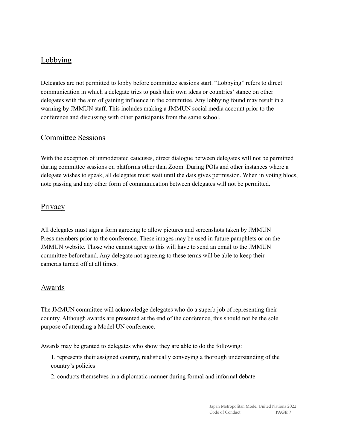## <span id="page-6-0"></span>Lobbying

Delegates are not permitted to lobby before committee sessions start. "Lobbying" refers to direct communication in which a delegate tries to push their own ideas or countries'stance on other delegates with the aim of gaining influence in the committee. Any lobbying found may result in a warning by JMMUN staff. This includes making a JMMUN social media account prior to the conference and discussing with other participants from the same school.

## <span id="page-6-1"></span>Committee Sessions

With the exception of unmoderated caucuses, direct dialogue between delegates will not be permitted during committee sessions on platforms other than Zoom. During POIs and other instances where a delegate wishes to speak, all delegates must wait until the dais gives permission. When in voting blocs, note passing and any other form of communication between delegates will not be permitted.

## <span id="page-6-2"></span>**Privacy**

All delegates must sign a form agreeing to allow pictures and screenshots taken by JMMUN Press members prior to the conference. These images may be used in future pamphlets or on the JMMUN website. Those who cannot agree to this will have to send an email to the JMMUN committee beforehand. Any delegate not agreeing to these terms will be able to keep their cameras turned off at all times.

#### <span id="page-6-3"></span>**Awards**

The JMMUN committee will acknowledge delegates who do a superb job of representing their country. Although awards are presented at the end of the conference, this should not be the sole purpose of attending a Model UN conference.

Awards may be granted to delegates who show they are able to do the following:

1. represents their assigned country, realistically conveying a thorough understanding of the country's policies

2. conducts themselves in a diplomatic manner during formal and informal debate